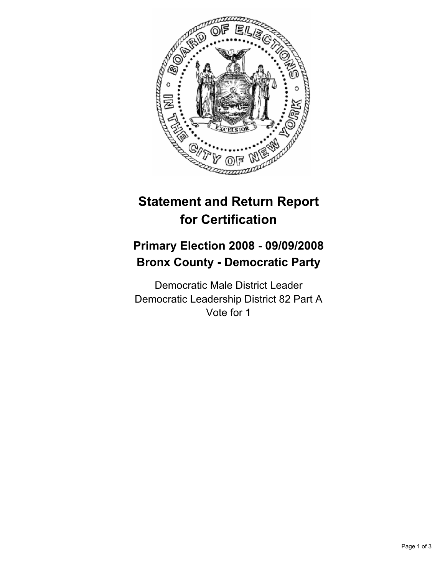

# **Statement and Return Report for Certification**

## **Primary Election 2008 - 09/09/2008 Bronx County - Democratic Party**

Democratic Male District Leader Democratic Leadership District 82 Part A Vote for 1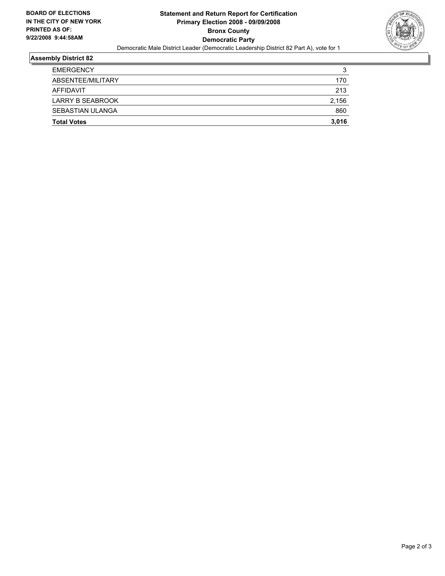

## **Assembly District 82**

| <b>Total Votes</b>      | 3,016  |
|-------------------------|--------|
| SEBASTIAN ULANGA        | 860    |
| <b>LARRY B SEABROOK</b> | 2,156  |
| AFFIDAVIT               | 213    |
| ABSENTEE/MILITARY       | 170    |
| <b>EMERGENCY</b>        | ີ<br>J |